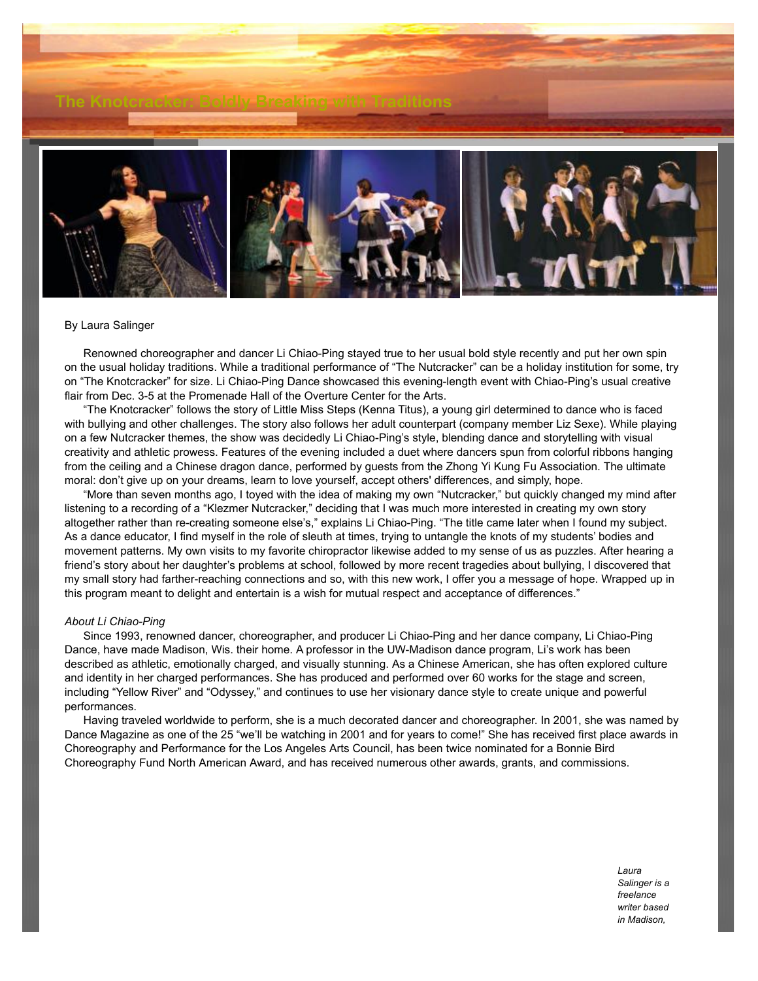

## By Laura Salinger

 Renowned choreographer and dancer Li Chiao-Ping stayed true to her usual bold style recently and put her own spin on the usual holiday traditions. While a traditional performance of "The Nutcracker" can be a holiday institution for some, try on "The Knotcracker" for size. Li Chiao-Ping Dance showcased this evening-length event with Chiao-Ping's usual creative flair from Dec. 3-5 at the Promenade Hall of the Overture Center for the Arts.

 "The Knotcracker" follows the story of Little Miss Steps (Kenna Titus), a young girl determined to dance who is faced with bullying and other challenges. The story also follows her adult counterpart (company member Liz Sexe). While playing on a few Nutcracker themes, the show was decidedly Li Chiao-Ping's style, blending dance and storytelling with visual creativity and athletic prowess. Features of the evening included a duet where dancers spun from colorful ribbons hanging from the ceiling and a Chinese dragon dance, performed by guests from the Zhong Yi Kung Fu Association. The ultimate moral: don't give up on your dreams, learn to love yourself, accept others' differences, and simply, hope.

 "More than seven months ago, I toyed with the idea of making my own "Nutcracker," but quickly changed my mind after listening to a recording of a "Klezmer Nutcracker," deciding that I was much more interested in creating my own story altogether rather than re-creating someone else's," explains Li Chiao-Ping. "The title came later when I found my subject. As a dance educator, I find myself in the role of sleuth at times, trying to untangle the knots of my students' bodies and movement patterns. My own visits to my favorite chiropractor likewise added to my sense of us as puzzles. After hearing a friend's story about her daughter's problems at school, followed by more recent tragedies about bullying, I discovered that my small story had farther-reaching connections and so, with this new work, I offer you a message of hope. Wrapped up in this program meant to delight and entertain is a wish for mutual respect and acceptance of differences."

## *About Li Chiao-Ping*

 Since 1993, renowned dancer, choreographer, and producer Li Chiao-Ping and her dance company, Li Chiao-Ping Dance, have made Madison, Wis. their home. A professor in the UW-Madison dance program, Li's work has been described as athletic, emotionally charged, and visually stunning. As a Chinese American, she has often explored culture and identity in her charged performances. She has produced and performed over 60 works for the stage and screen, including "Yellow River" and "Odyssey," and continues to use her visionary dance style to create unique and powerful performances.

 Having traveled worldwide to perform, she is a much decorated dancer and choreographer. In 2001, she was named by Dance Magazine as one of the 25 "we'll be watching in 2001 and for years to come!" She has received first place awards in Choreography and Performance for the Los Angeles Arts Council, has been twice nominated for a Bonnie Bird Choreography Fund North American Award, and has received numerous other awards, grants, and commissions.

> *Laura Salinger is a freelance writer based in Madison,*